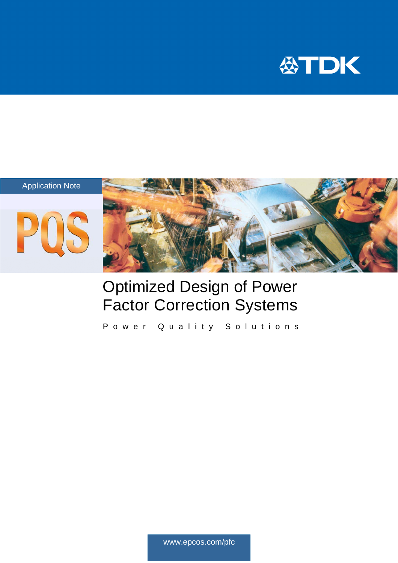







# Optimized Design of Power Factor Correction Systems

Power Quality Solutions

www.epcos.com/pfc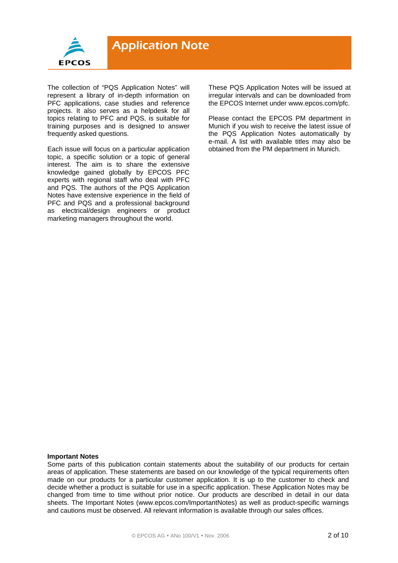

The collection of "PQS Application Notes" will represent a library of in-depth information on PFC applications, case studies and reference projects. It also serves as a helpdesk for all topics relating to PFC and PQS, is suitable for training purposes and is designed to answer frequently asked questions.

Each issue will focus on a particular application topic, a specific solution or a topic of general interest. The aim is to share the extensive knowledge gained globally by EPCOS PFC experts with regional staff who deal with PFC and PQS. The authors of the PQS Application Notes have extensive experience in the field of PFC and PQS and a professional background as electrical/design engineers or product marketing managers throughout the world.

These PQS Application Notes will be issued at irregular intervals and can be downloaded from the EPCOS Internet under www.epcos.com/pfc.

Please contact the EPCOS PM department in Munich if you wish to receive the latest issue of the PQS Application Notes automatically by e-mail. A list with available titles may also be obtained from the PM department in Munich.

#### **Important Notes**

Some parts of this publication contain statements about the suitability of our products for certain areas of application. These statements are based on our knowledge of the typical requirements often made on our products for a particular customer application. It is up to the customer to check and decide whether a product is suitable for use in a specific application. These Application Notes may be changed from time to time without prior notice. Our products are described in detail in our data sheets. The Important Notes (www.epcos.com/ImportantNotes) as well as product-specific warnings and cautions must be observed. All relevant information is available through our sales offices.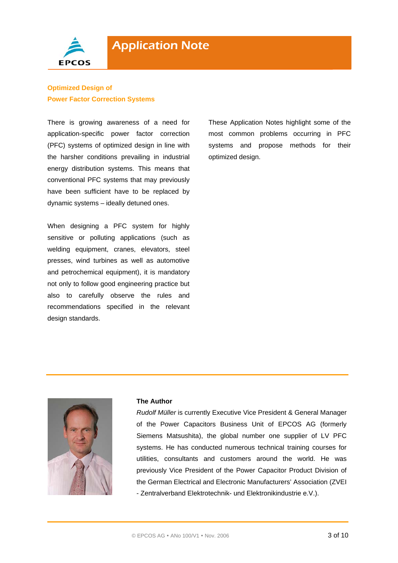

## **Optimized Design of Power Factor Correction Systems**

There is growing awareness of a need for application-specific power factor correction (PFC) systems of optimized design in line with the harsher conditions prevailing in industrial energy distribution systems. This means that conventional PFC systems that may previously have been sufficient have to be replaced by dynamic systems – ideally detuned ones.

When designing a PFC system for highly sensitive or polluting applications (such as welding equipment, cranes, elevators, steel presses, wind turbines as well as automotive and petrochemical equipment), it is mandatory not only to follow good engineering practice but also to carefully observe the rules and recommendations specified in the relevant design standards.

These Application Notes highlight some of the most common problems occurring in PFC systems and propose methods for their optimized design.



#### **The Author**

*Rudolf Müller* is currently Executive Vice President & General Manager of the Power Capacitors Business Unit of EPCOS AG (formerly Siemens Matsushita), the global number one supplier of LV PFC systems. He has conducted numerous technical training courses for utilities, consultants and customers around the world. He was previously Vice President of the Power Capacitor Product Division of the German Electrical and Electronic Manufacturers' Association (ZVEI - Zentralverband Elektrotechnik- und Elektronikindustrie e.V.).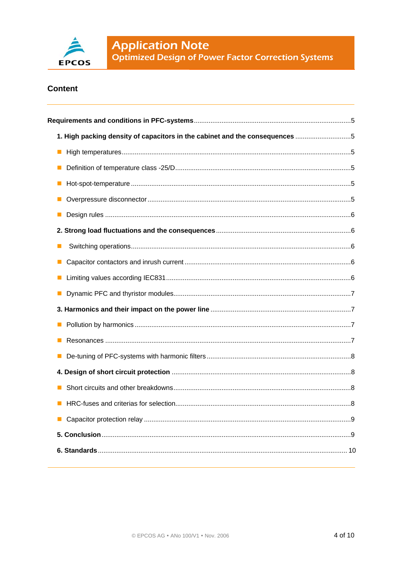

## **Content**

| 1. High packing density of capacitors in the cabinet and the consequences 5 |  |
|-----------------------------------------------------------------------------|--|
|                                                                             |  |
| $\blacksquare$                                                              |  |
|                                                                             |  |
|                                                                             |  |
| $\blacksquare$                                                              |  |
|                                                                             |  |
|                                                                             |  |
|                                                                             |  |
|                                                                             |  |
|                                                                             |  |
|                                                                             |  |
|                                                                             |  |
|                                                                             |  |
|                                                                             |  |
|                                                                             |  |
|                                                                             |  |
|                                                                             |  |
|                                                                             |  |
|                                                                             |  |
|                                                                             |  |
|                                                                             |  |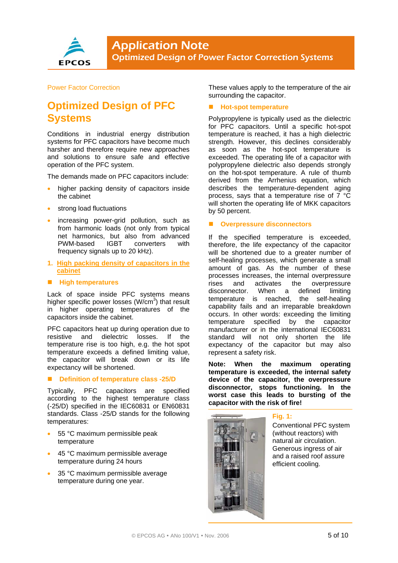

#### Power Factor Correction

# **Optimized Design of PFC Systems**

Conditions in industrial energy distribution systems for PFC capacitors have become much harsher and therefore require new approaches and solutions to ensure safe and effective operation of the PFC system.

The demands made on PFC capacitors include:

- higher packing density of capacitors inside the cabinet
- strong load fluctuations
- increasing power-grid pollution, such as from harmonic loads (not only from typical net harmonics, but also from advanced PWM-based IGBT converters with frequency signals up to 20 kHz).
- **1. High packing density of capacitors in the cabinet**

#### **High temperatures**

Lack of space inside PFC systems means higher specific power losses (W/cm<sup>3</sup>) that result in higher operating temperatures of the capacitors inside the cabinet.

PFC capacitors heat up during operation due to resistive and dielectric losses. If the temperature rise is too high, e.g. the hot spot temperature exceeds a defined limiting value, the capacitor will break down or its life expectancy will be shortened.

#### ■ **Definition of temperature class -25/D**

Typically, PFC capacitors are specified according to the highest temperature class (-25/D) specified in the IEC60831 or EN60831 standards. Class -25/D stands for the following temperatures:

- 55 °C maximum permissible peak temperature
- 45 °C maximum permissible average temperature during 24 hours
- 35 °C maximum permissible average temperature during one year.

These values apply to the temperature of the air surrounding the capacitor.

#### **Hot-spot temperature**

Polypropylene is typically used as the dielectric for PFC capacitors. Until a specific hot-spot temperature is reached, it has a high dielectric strength. However, this declines considerably as soon as the hot-spot temperature is exceeded. The operating life of a capacitor with polypropylene dielectric also depends strongly on the hot-spot temperature. A rule of thumb derived from the Arrhenius equation, which describes the temperature-dependent aging process, says that a temperature rise of 7 °C will shorten the operating life of MKK capacitors by 50 percent.

#### **Overpressure disconnectors**

If the specified temperature is exceeded, therefore, the life expectancy of the capacitor will be shortened due to a greater number of self-healing processes, which generate a small amount of gas. As the number of these processes increases, the internal overpressure rises and activates the overpressure disconnector. When a defined limiting temperature is reached, the self-healing capability fails and an irreparable breakdown occurs. In other words: exceeding the limiting temperature specified by the capacitor manufacturer or in the international IEC60831 standard will not only shorten the life expectancy of the capacitor but may also represent a safety risk.

**Note: When the maximum operating temperature is exceeded, the internal safety device of the capacitor, the overpressure disconnector, stops functioning. In the worst case this leads to bursting of the capacitor with the risk of fire!** 



### **Fig. 1:**

Conventional PFC system (without reactors) with natural air circulation. Generous ingress of air and a raised roof assure efficient cooling.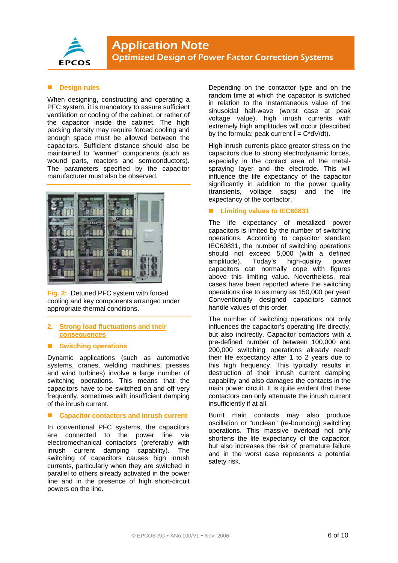

#### **Design rules**

When designing, constructing and operating a PFC system, it is mandatory to assure sufficient ventilation or cooling of the cabinet, or rather of the capacitor inside the cabinet. The high packing density may require forced cooling and enough space must be allowed between the capacitors. Sufficient distance should also be maintained to "warmer" components (such as wound parts, reactors and semiconductors). The parameters specified by the capacitor manufacturer must also be observed.



**Fig. 2:** Detuned PFC system with forced cooling and key components arranged under appropriate thermal conditions.

#### **2. Strong load fluctuations and their consequences**

#### **E** Switching operations

Dynamic applications (such as automotive systems, cranes, welding machines, presses and wind turbines) involve a large number of switching operations. This means that the capacitors have to be switched on and off very frequently, sometimes with insufficient damping of the inrush current.

#### ■ Capacitor contactors and inrush current

In conventional PFC systems, the capacitors are connected to the power line via electromechanical contactors (preferably with inrush current damping capability). The switching of capacitors causes high inrush currents, particularly when they are switched in parallel to others already activated in the power line and in the presence of high short-circuit powers on the line.

Depending on the contactor type and on the random time at which the capacitor is switched in relation to the instantaneous value of the sinusoidal half-wave (worst case at peak voltage value), high inrush currents with extremely high amplitudes will occur (described by the formula: peak current  $\hat{\mathbf{l}} = \mathbf{C}^* d\mathbf{V}/dt$ .

High inrush currents place greater stress on the capacitors due to strong electrodynamic forces, especially in the contact area of the metalspraying layer and the electrode. This will influence the life expectancy of the capacitor significantly in addition to the power quality (transients, voltage sags) and the life expectancy of the contactor.

#### ■ Limiting values to **IEC60831**

The life expectancy of metalized power capacitors is limited by the number of switching operations. According to capacitor standard IEC60831, the number of switching operations should not exceed 5,000 (with a defined amplitude). Today's high-quality power capacitors can normally cope with figures above this limiting value. Nevertheless, real cases have been reported where the switching operations rise to as many as 150,000 per year! Conventionally designed capacitors cannot handle values of this order.

The number of switching operations not only influences the capacitor's operating life directly, but also indirectly. Capacitor contactors with a pre-defined number of between 100,000 and 200,000 switching operations already reach their life expectancy after 1 to 2 years due to this high frequency. This typically results in destruction of their inrush current damping capability and also damages the contacts in the main power circuit. It is quite evident that these contactors can only attenuate the inrush current insufficiently if at all.

Burnt main contacts may also produce oscillation or "unclean" (re-bouncing) switching operations. This massive overload not only shortens the life expectancy of the capacitor, but also increases the risk of premature failure and in the worst case represents a potential safety risk.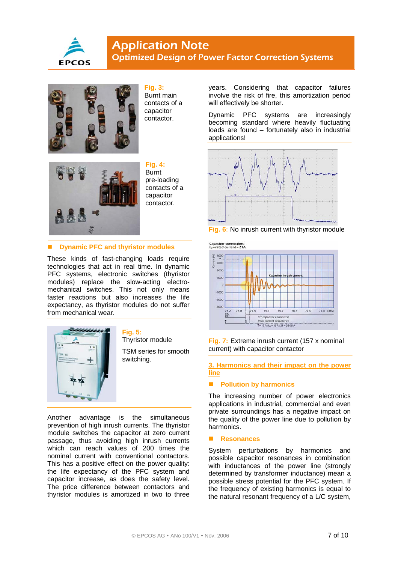



**Fig. 3:**  Burnt main contacts of a capacitor contactor.



**Fig. 4:**  Burnt pre-loading contacts of a capacitor contactor.

#### **E** Dynamic PFC and thyristor modules

These kinds of fast-changing loads require technologies that act in real time. In dynamic PFC systems, electronic switches (thyristor modules) replace the slow-acting electromechanical switches. This not only means faster reactions but also increases the life expectancy, as thyristor modules do not suffer from mechanical wear



**Fig. 5:** Thyristor module

TSM series for smooth switching.

Another advantage is the simultaneous prevention of high inrush currents. The thyristor module switches the capacitor at zero current passage, thus avoiding high inrush currents which can reach values of 200 times the nominal current with conventional contactors. This has a positive effect on the power quality: the life expectancy of the PFC system and capacitor increase, as does the safety level. The price difference between contactors and thyristor modules is amortized in two to three

years. Considering that capacitor failures involve the risk of fire, this amortization period will effectively be shorter.

Dynamic PFC systems are increasingly becoming standard where heavily fluctuating loads are found – fortunately also in industrial applications!





Capacitor connection:<br>legated current = 21A



**Fig. 7:** Extreme inrush current (157 x nominal current) with capacitor contactor

**3. Harmonics and their impact on the power line** 

#### **Pollution by harmonics**

The increasing number of power electronics applications in industrial, commercial and even private surroundings has a negative impact on the quality of the power line due to pollution by harmonics.

#### **Resonances**

System perturbations by harmonics and possible capacitor resonances in combination with inductances of the power line (strongly determined by transformer inductance) mean a possible stress potential for the PFC system. If the frequency of existing harmonics is equal to the natural resonant frequency of a L/C system,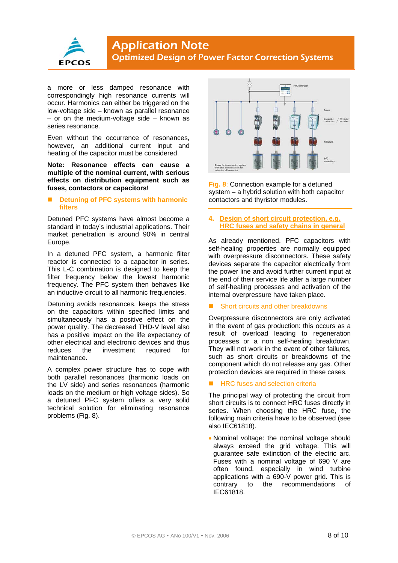

# **Application Note** Optimized Design of Power Factor Correction Systems

a more or less damped resonance with correspondingly high resonance currents will occur. Harmonics can either be triggered on the low-voltage side – known as parallel resonance – or on the medium-voltage side – known as series resonance.

Even without the occurrence of resonances. however, an additional current input and heating of the capacitor must be considered.

**Note: Resonance effects can cause a multiple of the nominal current, with serious effects on distribution equipment such as fuses, contactors or capacitors!** 

#### ■ **Detuning of PFC systems with harmonic filters**

Detuned PFC systems have almost become a standard in today's industrial applications. Their market penetration is around 90% in central Europe.

In a detuned PFC system, a harmonic filter reactor is connected to a capacitor in series. This L-C combination is designed to keep the filter frequency below the lowest harmonic frequency. The PFC system then behaves like an inductive circuit to all harmonic frequencies.

Detuning avoids resonances, keeps the stress on the capacitors within specified limits and simultaneously has a positive effect on the power quality. The decreased THD-V level also has a positive impact on the life expectancy of other electrical and electronic devices and thus reduces the investment required for maintenance.

A complex power structure has to cope with both parallel resonances (harmonic loads on the LV side) and series resonances (harmonic loads on the medium or high voltage sides). So a detuned PFC system offers a very solid technical solution for eliminating resonance problems (Fig. 8).



**Fig. 8**: Connection example for a detuned system – a hybrid solution with both capacitor contactors and thyristor modules.

#### **4. Design of short circuit protection, e.g. HRC fuses and safety chains in general**

As already mentioned, PFC capacitors with self-healing properties are normally equipped with overpressure disconnectors. These safety devices separate the capacitor electrically from the power line and avoid further current input at the end of their service life after a large number of self-healing processes and activation of the internal overpressure have taken place.

#### Short circuits and other breakdowns

Overpressure disconnectors are only activated in the event of gas production: this occurs as a result of overload leading to regeneration processes or a non self-healing breakdown. They will not work in the event of other failures, such as short circuits or breakdowns of the component which do not release any gas. Other protection devices are required in these cases.

#### HRC fuses and selection criteria

The principal way of protecting the circuit from short circuits is to connect HRC fuses directly in series. When choosing the HRC fuse, the following main criteria have to be observed (see also IEC61818).

• Nominal voltage: the nominal voltage should always exceed the grid voltage. This will guarantee safe extinction of the electric arc. Fuses with a nominal voltage of 690 V are often found, especially in wind turbine applications with a 690-V power grid. This is contrary to the recommendations of IEC61818.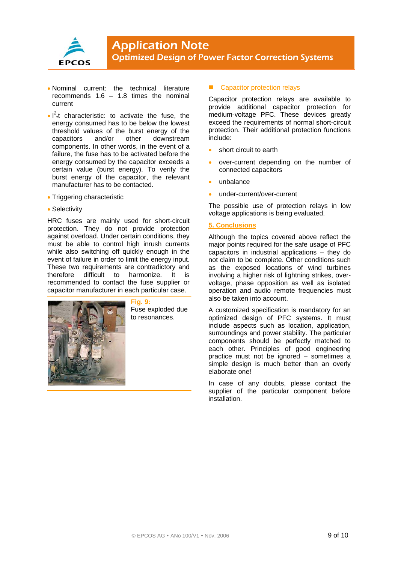

- Nominal current: the technical literature recommends 1.6 – 1.8 times the nominal current
- $\cdot$   $I^2$ <sup>t</sup> characteristic: to activate the fuse, the energy consumed has to be below the lowest threshold values of the burst energy of the capacitors and/or other downstream components. In other words, in the event of a failure, the fuse has to be activated before the energy consumed by the capacitor exceeds a certain value (burst energy). To verify the burst energy of the capacitor, the relevant manufacturer has to be contacted.
- Triggering characteristic
- Selectivity

HRC fuses are mainly used for short-circuit protection. They do not provide protection against overload. Under certain conditions, they must be able to control high inrush currents while also switching off quickly enough in the event of failure in order to limit the energy input. These two requirements are contradictory and therefore difficult to harmonize. It is recommended to contact the fuse supplier or capacitor manufacturer in each particular case.



**Fig. 9:** Fuse exploded due to resonances.

#### ■ Capacitor protection relays

Capacitor protection relays are available to provide additional capacitor protection for medium-voltage PFC. These devices greatly exceed the requirements of normal short-circuit protection. Their additional protection functions include:

- short circuit to earth
- over-current depending on the number of connected capacitors
- unbalance
- under-current/over-current

The possible use of protection relays in low voltage applications is being evaluated.

#### **5. Conclusions**

Although the topics covered above reflect the major points required for the safe usage of PFC capacitors in industrial applications – they do not claim to be complete. Other conditions such as the exposed locations of wind turbines involving a higher risk of lightning strikes, overvoltage, phase opposition as well as isolated operation and audio remote frequencies must also be taken into account.

A customized specification is mandatory for an optimized design of PFC systems. It must include aspects such as location, application, surroundings and power stability. The particular components should be perfectly matched to each other. Principles of good engineering practice must not be ignored – sometimes a simple design is much better than an overly elaborate one!

In case of any doubts, please contact the supplier of the particular component before installation.